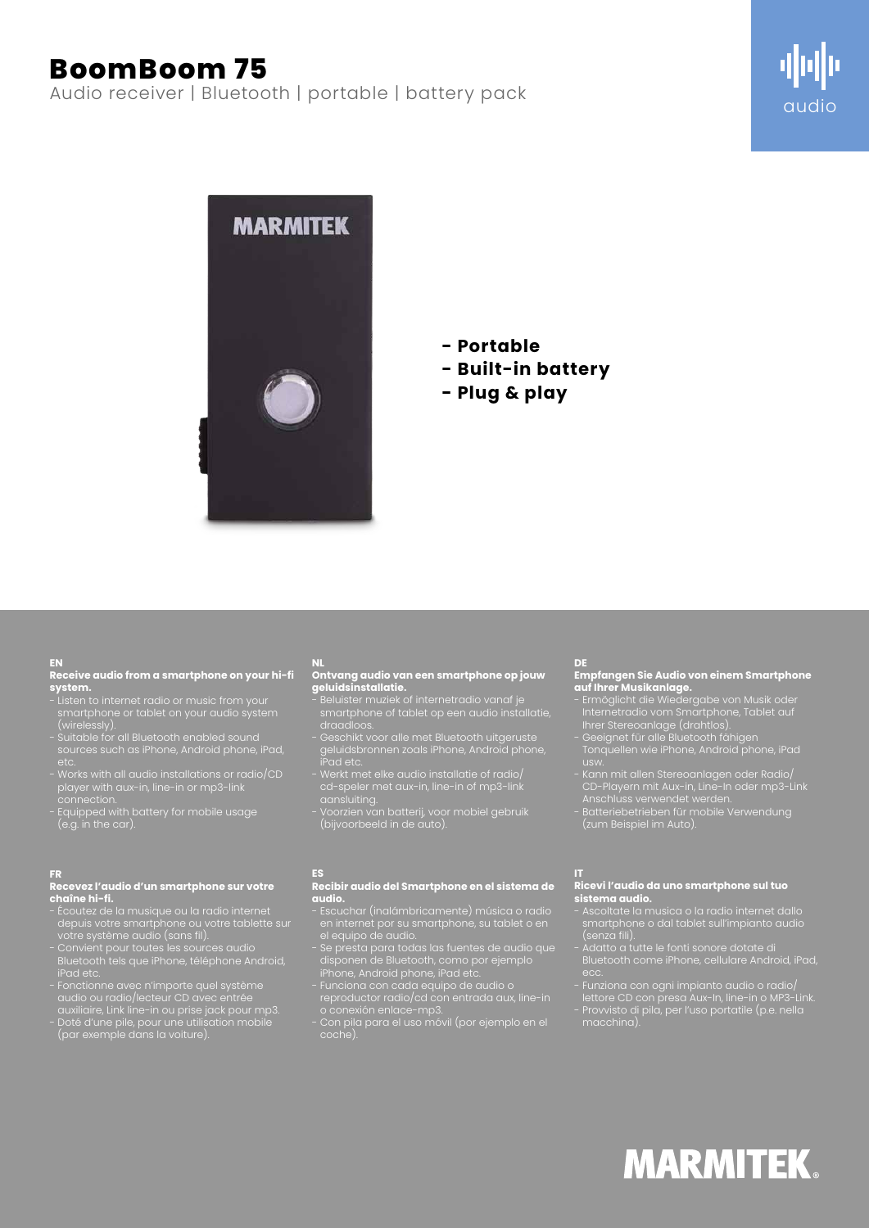# **BoomBoom 75**

Audio receiver | Bluetooth | portable | battery pack





## **- Portable**

- **Built-in battery**
- **Plug & play**

#### **EN**

**Receive audio from a smartphone on your hi-fi system.**

- Listen to internet radio or music from your smartphone or tablet on your audio system (wirelessly).
- Suitable for all Bluetooth enabled sound sources such as iPhone, Android phone, iPad,
- Works with all audio installations or radio/CD player with aux-in, line-in or mp3-link connection.
- Equipped with battery for mobile usage (e.g. in the car).

### **FR**

### **Recevez l'audio d'un smartphone sur votre chaîne hi-fi.**

- Écoutez de la musique ou la radio internet depuis votre smartphone ou votre tablette sur votre système audio (sans fil).
- Convient pour toutes les sources audio Bluetooth tels que iPhone, téléphone Android, iPad etc.
- Fonctionne avec n'importe quel système audio ou radio/lecteur CD avec entrée auxiliaire, Link line-in ou prise jack pour mp3.
- Doté d'une pile, pour une utilisation mobile (par exemple dans la voiture).

#### **NL Ontvang audio van een smartphone op jouw geluidsinstallatie.**

- Beluister muziek of internetradio vanaf je smartphone of tablet op een audio installatie, draadloos.
- Geschikt voor alle met Bluetooth uitgeruste geluidsbronnen zoals iPhone, Android phone, iPad etc.
- Werkt met elke audio installatie of radio/ cd-speler met aux-in, line-in of mp3-link aansluiting.
- Voorzien van batterij, voor mobiel gebruik (bijvoorbeeld in de auto).

## **ES**

#### **Recibir audio del Smartphone en el sistema de audio.**

- en internet por su smartphone, su tablet o en el equipo de audio.
- disponen de Bluetooth, como por ejemplo iPhone, Android phone, iPad etc.
- reproductor radio/cd con entrada aux, line-in
- o conexión enlace-mp3. - Con pila para el uso móvil (por ejemplo en el coche).

### **DE**

### **Empfangen Sie Audio von einem Smartphone auf Ihrer Musikanlage.**

- Ermöglicht die Wiedergabe von Musik oder Internetradio vom Smartphone, Tablet auf
- Ihrer Stereoanlage (drahtlos). - Geeignet für alle Bluetooth fähigen Tonquellen wie iPhone, Android phone, iPad
- Kann mit allen Stereoanlagen oder Radio/ CD-Playern mit Aux-in, Line-In oder mp3-Link
- Anschluss verwendet werden. - Batteriebetrieben für mobile Verwendung (zum Beispiel im Auto).

### **IT**

macchina).

### **Ricevi l'audio da uno smartphone sul tuo sistema audio.**

- Ascoltate la musica o la radio internet dallo smartphone o dal tablet sull'impianto audio (senza fili).
- Adatto a tutte le fonti sonore dotate di Bluetooth come iPhone, cellulare Android, iPad,
- Funziona con ogni impianto audio o radio/
- lettore CD con presa Aux-In, line-in o MP3-Link. - Provvisto di pila, per l'uso portatile (p.e. nella